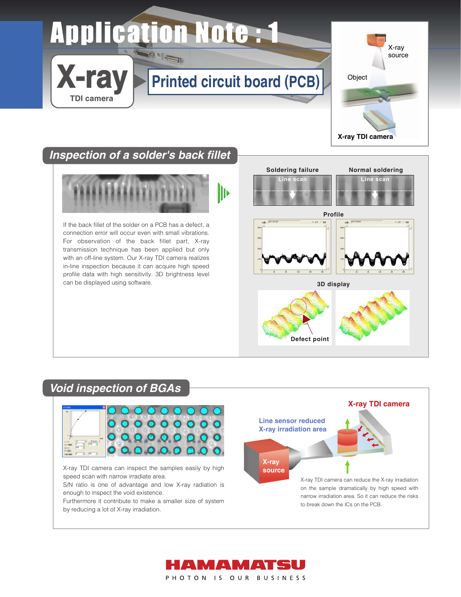## **Application Note: 1 Dela Band**

## **Printed circuit board (PCB)**



**X-ray TDI camera**

### **Inspection of a solder's back fillet**

**X-ray**

**TDI camera**



If the back fillet of the solder on a PCB has a defect, a connection error will occur even with small vibrations. For observation of the back fillet part, X-ray transmission technique has been applied but only with an off-line system. Our X-ray TDI camera realizes in-line inspection because it can acquire high speed profile data with high sensitivity. 3D brightness level can be displayed using software.



# **Defect point**

### **Void inspection of BGAs**



X-ray TDI camera can inspect the samples easily by high speed scan with narrow irradiate area.

S/N ratio is one of advantage and low X-ray radiation is enough to inspect the void existence.

Furthermore it contribute to make a smaller size of system by reducing a lot of X-ray irradiation.



narrow irradiation area. So it can reduce the risks to break down the ICs on the PCB.